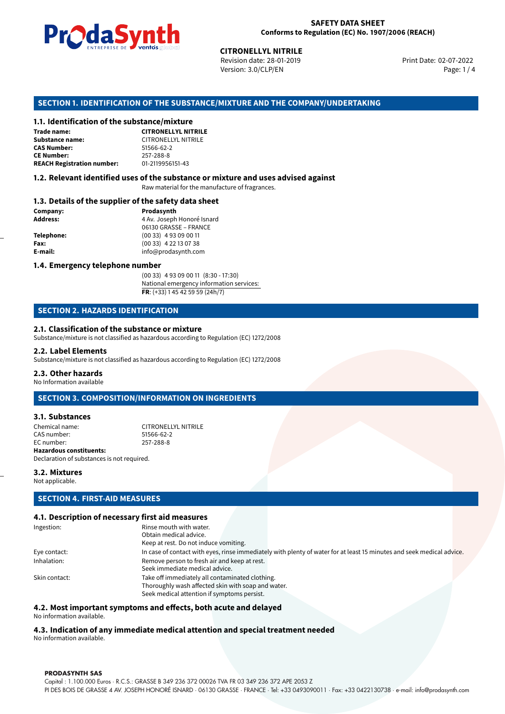

Revision date: 28-01-2019 Version: 3.0/CLP/EN Page: 1 / 4

Print Date: 02-07-2022

# **CITRONELLYL NITRILE**<br>
Revision date: 28-01-2019<br>
Version: 3.0/CLP/EN<br> **OF THE SUBSTANCE/MIXTURE AND THE COM<br>
tance/mixture<br>
CITRONELLYL NITRILE SECTION 1. IDENTIFICATION OF THE SUBSTANCE/MIXTURE AND THE COMPANY/UNDERTAKING**

### **1.1. Identification of the substance/mixture**

| Trade name:                       | <b>CITRONELLYL NITRIL</b>  |
|-----------------------------------|----------------------------|
| Substance name:                   | <b>CITRONELLYL NITRILE</b> |
| <b>CAS Number:</b>                | 51566-62-2                 |
| <b>CE Number:</b>                 | 257-288-8                  |
| <b>REACH Registration number:</b> | 01-2119956151-43           |
|                                   |                            |

### **1.2. Relevant identified uses of the substance or mixture and uses advised against**

Raw material for the manufacture of fragrances.

### **1.3. Details of the supplier of the safety data sheet**

| Company:   | Prodasynth                 |  |
|------------|----------------------------|--|
| Address:   | 4 Av. Joseph Honoré Isnard |  |
|            | 06130 GRASSE - FRANCE      |  |
| Telephone: | $(0033)$ 4 93 09 00 11     |  |
| Fax:       | $(0033)$ 4 22 13 07 38     |  |
| E-mail:    | info@prodasynth.com        |  |
|            |                            |  |

### **1.4. Emergency telephone number**

(00 33) 4 93 09 00 11 (8:30 - 17:30) National emergency information services: **FR**: (+33) 1 45 42 59 59 (24h/7)

### **SECTION 2. HAZARDS IDENTIFICATION**

### **2.1. Classification of the substance or mixture**

Substance/mixture is not classified as hazardous according to Regulation (EC) 1272/2008

### **2.2. Label Elements**

Substance/mixture is not classified as hazardous according to Regulation (EC) 1272/2008

### **2.3. Other hazards**

No Information available

### **SECTION 3. COMPOSITION/INFORMATION ON INGREDIENTS**

### **3.1. Substances**

Chemical name: CITRONELLYL NITRILE CAS number: 51566-62-2<br>EC number: 257-288-8 EC number: **Hazardous constituents:** Declaration of substances is not required.

### **3.2. Mixtures**

Not applicable.

### **SECTION 4. FIRST-AID MEASURES**

### **4.1. Description of necessary first aid measures**

| Ingestion:    | Rinse mouth with water.                                                                                               |
|---------------|-----------------------------------------------------------------------------------------------------------------------|
|               | Obtain medical advice.                                                                                                |
|               | Keep at rest. Do not induce vomiting.                                                                                 |
| Eye contact:  | In case of contact with eyes, rinse immediately with plenty of water for at least 15 minutes and seek medical advice. |
| Inhalation:   | Remove person to fresh air and keep at rest.                                                                          |
|               | Seek immediate medical advice.                                                                                        |
| Skin contact: | Take off immediately all contaminated clothing.                                                                       |
|               | Thoroughly wash affected skin with soap and water.                                                                    |
|               | Seek medical attention if symptoms persist.                                                                           |

### **4.2. Most important symptoms and effects, both acute and delayed**

No information available.

### **4.3. Indication of any immediate medical attention and special treatment needed**

No information available.

### **PRODASYNTH SAS**

Capital : 1.100.000 Euros · R.C.S.: GRASSE B 349 236 372 00026 TVA FR 03 349 236 372 APE 2053 Z PI DES BOIS DE GRASSE 4 AV. JOSEPH HONORÉ ISNARD · 06130 GRASSE · FRANCE · Tel: +33 0493090011 · Fax: +33 0422130738 · e-mail: info@prodasynth.com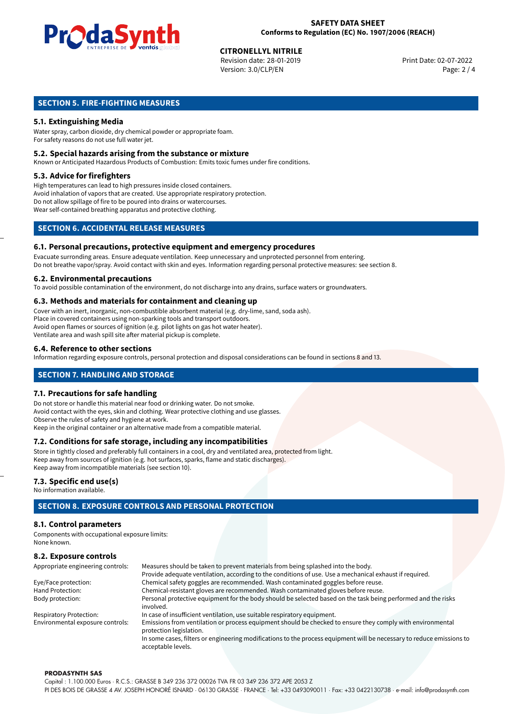

## **CITRONELLYL NITRILE**<br>
Revision date: 28-01-2019<br> **Print Date: 02-07-2022**

Revision date: 28-01-2019 Version: 3.0/CLP/EN Page: 2 / 4

### **SECTION 5. FIRE-FIGHTING MEASURES**

### **5.1. Extinguishing Media**

Water spray, carbon dioxide, dry chemical powder or appropriate foam. For safety reasons do not use full water jet.

### **5.2. Special hazards arising from the substance or mixture**

Known or Anticipated Hazardous Products of Combustion: Emits toxic fumes under fire conditions.

### **5.3. Advice for firefighters**

High temperatures can lead to high pressures inside closed containers. Avoid inhalation of vapors that are created. Use appropriate respiratory protection. Do not allow spillage of fire to be poured into drains or watercourses. Wear self-contained breathing apparatus and protective clothing.

### **SECTION 6. ACCIDENTAL RELEASE MEASURES**

### **6.1. Personal precautions, protective equipment and emergency procedures**

Evacuate surronding areas. Ensure adequate ventilation. Keep unnecessary and unprotected personnel from entering. Do not breathe vapor/spray. Avoid contact with skin and eyes. Information regarding personal protective measures: see section 8.

### **6.2. Environmental precautions**

To avoid possible contamination of the environment, do not discharge into any drains, surface waters or groundwaters.

### **6.3. Methods and materials for containment and cleaning up**

Cover with an inert, inorganic, non-combustible absorbent material (e.g. dry-lime, sand, soda ash). Place in covered containers using non-sparking tools and transport outdoors. Avoid open flames or sources of ignition (e.g. pilot lights on gas hot water heater). Ventilate area and wash spill site after material pickup is complete.

### **6.4. Reference to other sections**

Information regarding exposure controls, personal protection and disposal considerations can be found in sections 8 and 13.

### **SECTION 7. HANDLING AND STORAGE**

### **7.1. Precautions for safe handling**

Do not store or handle this material near food or drinking water. Do not smoke. Avoid contact with the eyes, skin and clothing. Wear protective clothing and use glasses. Observe the rules of safety and hygiene at work. Keep in the original container or an alternative made from a compatible material.

### **7.2. Conditions for safe storage, including any incompatibilities**

Store in tightly closed and preferably full containers in a cool, dry and ventilated area, protected from light. Keep away from sources of ignition (e.g. hot surfaces, sparks, flame and static discharges). Keep away from incompatible materials (see section 10).

### **7.3. Specific end use(s)**

No information available.

### **SECTION 8. EXPOSURE CONTROLS AND PERSONAL PROTECTION**

### **8.1. Control parameters**

Components with occupational exposure limits: None known.

### **8.2. Exposure controls**

| Appropriate engineering controls: | Measures should be taken to prevent materials from being splashed into the body.                                                            |  |  |
|-----------------------------------|---------------------------------------------------------------------------------------------------------------------------------------------|--|--|
|                                   | Provide adequate ventilation, according to the conditions of use. Use a mechanical exhaust if required.                                     |  |  |
| Eye/Face protection:              | Chemical safety goggles are recommended. Wash contaminated goggles before reuse.                                                            |  |  |
| Hand Protection:                  | Chemical-resistant gloves are recommended. Wash contaminated gloves before reuse.                                                           |  |  |
| Body protection:                  | Personal protective equipment for the body should be selected based on the task being performed and the risks                               |  |  |
|                                   | involved.                                                                                                                                   |  |  |
| <b>Respiratory Protection:</b>    | In case of insufficient ventilation, use suitable respiratory equipment.                                                                    |  |  |
| Environmental exposure controls:  | Emissions from ventilation or process equipment should be checked to ensure they comply with environmental<br>protection legislation.       |  |  |
|                                   | In some cases, filters or engineering modifications to the process equipment will be necessary to reduce emissions to<br>acceptable levels. |  |  |

### **PRODASYNTH SAS**

Capital : 1.100.000 Euros · R.C.S.: GRASSE B 349 236 372 00026 TVA FR 03 349 236 372 APE 2053 Z PI DES BOIS DE GRASSE 4 AV. JOSEPH HONORÉ ISNARD · 06130 GRASSE · FRANCE · Tel: +33 0493090011 · Fax: +33 0422130738 · e-mail: info@prodasynth.com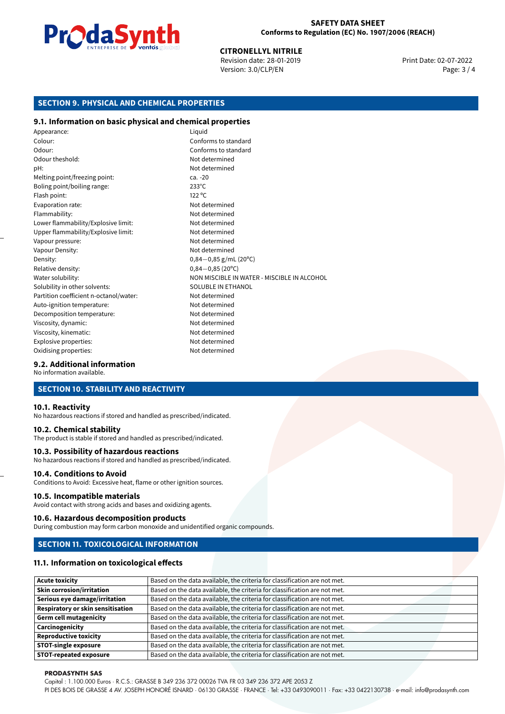

**CITRONELLYL NITRILE**<br>
Revision date: 28-01-2019 **Print Date: 02-07-2022** Version: 3.0/CLP/EN Page: 3 / 4

### **SECTION 9. PHYSICAL AND CHEMICAL PROPERTIES**

### **9.1. Information on basic physical and chemical properties**

| Appearance:                            | Liquid                                      |
|----------------------------------------|---------------------------------------------|
| Colour:                                | Conforms to standard                        |
| Odour:                                 | Conforms to standard                        |
| Odour theshold:                        | Not determined                              |
| pH:                                    | Not determined                              |
| Melting point/freezing point:          | $ca. -20$                                   |
| Boling point/boiling range:            | $233^{\circ}$ C                             |
| Flash point:                           | $122^{\circ}$ C                             |
| Evaporation rate:                      | Not determined                              |
| Flammability:                          | Not determined                              |
| Lower flammability/Explosive limit:    | Not determined                              |
| Upper flammability/Explosive limit:    | Not determined                              |
| Vapour pressure:                       | Not determined                              |
| Vapour Density:                        | Not determined                              |
| Density:                               | $0,84-0,85$ g/mL (20°C)                     |
| Relative density:                      | $0,84 - 0,85(20^{\circ}C)$                  |
| Water solubility:                      | NON MISCIBLE IN WATER - MISCIBLE IN ALCOHOL |
| Solubility in other solvents:          | SOLUBLE IN ETHANOL                          |
| Partition coefficient n-octanol/water: | Not determined                              |
| Auto-ignition temperature:             | Not determined                              |
| Decomposition temperature:             | Not determined                              |
| Viscosity, dynamic:                    | Not determined                              |
| Viscosity, kinematic:                  | Not determined                              |
| Explosive properties:                  | Not determined                              |
| Oxidising properties:                  | Not determined                              |

### **9.2. Additional information**

No information available.

### **SECTION 10. STABILITY AND REACTIVITY**

### **10.1. Reactivity**

No hazardous reactions if stored and handled as prescribed/indicated.

### **10.2. Chemical stability**

The product is stable if stored and handled as prescribed/indicated.

### **10.3. Possibility of hazardous reactions**

No hazardous reactions if stored and handled as prescribed/indicated.

### **10.4. Conditions to Avoid**

Conditions to Avoid: Excessive heat, flame or other ignition sources.

### **10.5. Incompatible materials**

Avoid contact with strong acids and bases and oxidizing agents.

### **10.6. Hazardous decomposition products**

During combustion may form carbon monoxide and unidentified organic compounds.

### **SECTION 11. TOXICOLOGICAL INFORMATION**

### **11.1. Information on toxicological effects**

| <b>Acute toxicity</b>                    | Based on the data available, the criteria for classification are not met. |
|------------------------------------------|---------------------------------------------------------------------------|
| <b>Skin corrosion/irritation</b>         | Based on the data available, the criteria for classification are not met. |
| Serious eye damage/irritation            | Based on the data available, the criteria for classification are not met. |
| <b>Respiratory or skin sensitisation</b> | Based on the data available, the criteria for classification are not met. |
| <b>Germ cell mutagenicity</b>            | Based on the data available, the criteria for classification are not met. |
| Carcinogenicity                          | Based on the data available, the criteria for classification are not met. |
| <b>Reproductive toxicity</b>             | Based on the data available, the criteria for classification are not met. |
| <b>STOT-single exposure</b>              | Based on the data available, the criteria for classification are not met. |
| <b>STOT-repeated exposure</b>            | Based on the data available, the criteria for classification are not met. |

### **PRODASYNTH SAS**

Capital : 1.100.000 Euros · R.C.S.: GRASSE B 349 236 372 00026 TVA FR 03 349 236 372 APE 2053 Z

PI DES BOIS DE GRASSE 4 AV. JOSEPH HONORÉ ISNARD · 06130 GRASSE · FRANCE · Tel: +33 0493090011 · Fax: +33 0422130738 · e-mail: info@prodasynth.com